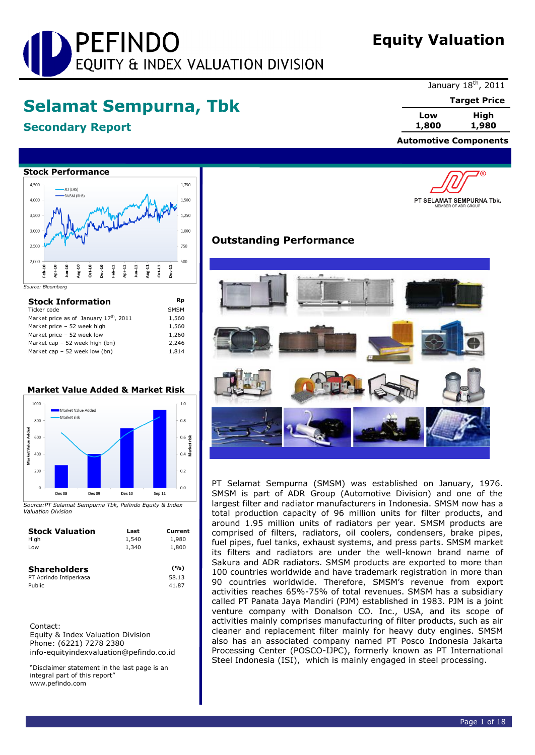# PEFINDO EQUITY & INDEX VALUATION DIVISION

## **Equity Valuation**

## **Selamat Sempurna, Tbk**

## **Secondary Report**

January 18<sup>th</sup>, 2011

**Target Price**

'®

**Low High 1,800 1,980**

 **Automotive Components**

PT SELAMAT SEMPURNA Tbk.



| <b>Stock Information</b>              | Rp          |
|---------------------------------------|-------------|
| Ticker code                           | <b>SMSM</b> |
| Market price as of January 17th, 2011 | 1,560       |
| Market price - 52 week high           | 1,560       |
| Market price - 52 week low            | 1,260       |
| Market cap - 52 week high (bn)        | 2,246       |
| Market cap $-52$ week low (bn)        | 1.814       |

## **Market Value Added & Market Risk**



*Source:PT Selamat Sempurna Tbk, Pefindo Equity & Index Valuation Division*

| <b>Stock Valuation</b><br>High<br>Low | Last<br>1,540<br>1,340 | Current<br>1,980<br>1,800 |
|---------------------------------------|------------------------|---------------------------|
| <b>Shareholders</b>                   |                        | (%)                       |
| PT Adrindo Intiperkasa                |                        | 58.13                     |
| Public                                |                        | 41.87                     |

Contact: Equity & Index Valuation Division Phone: (6221) 7278 2380 info-equityindexvaluation@pefindo.co.id

"Disclaimer statement in the last page is an integral part of this report" www.pefindo.com

## **Outstanding Performance**



PT Selamat Sempurna (SMSM) was established on January, 1976. SMSM is part of ADR Group (Automotive Division) and one of the largest filter and radiator manufacturers in Indonesia. SMSM now has a total production capacity of 96 million units for filter products, and around 1.95 million units of radiators per year. SMSM products are comprised of filters, radiators, oil coolers, condensers, brake pipes, fuel pipes, fuel tanks, exhaust systems, and press parts. SMSM market its filters and radiators are under the well-known brand name of Sakura and ADR radiators. SMSM products are exported to more than 100 countries worldwide and have trademark registration in more than 90 countries worldwide. Therefore, SMSM's revenue from export activities reaches 65%-75% of total revenues. SMSM has a subsidiary called PT Panata Jaya Mandiri (PJM) established in 1983. PJM is a joint venture company with Donalson CO. Inc., USA, and its scope of activities mainly comprises manufacturing of filter products, such as air cleaner and replacement filter mainly for heavy duty engines. SMSM also has an associated company named PT Posco Indonesia Jakarta Processing Center (POSCO-IJPC), formerly known as PT International Steel Indonesia (ISI), which is mainly engaged in steel processing.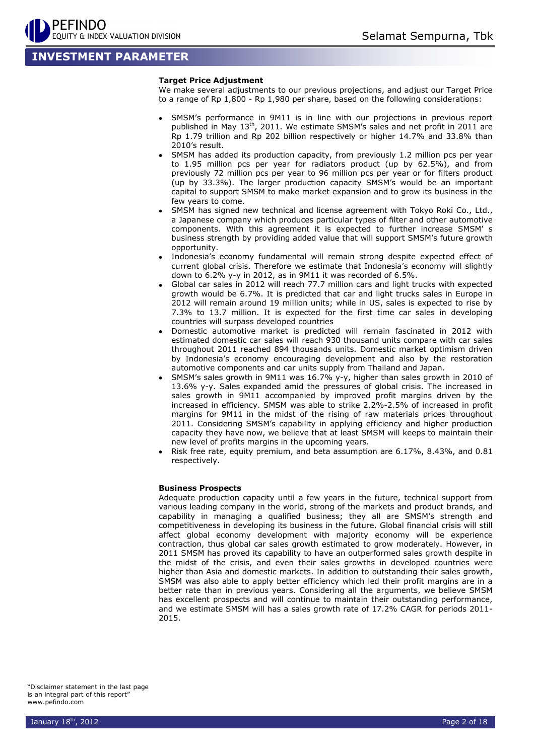## **INVESTMENT PARAMETER**

#### **Target Price Adjustment**

We make several adjustments to our previous projections, and adjust our Target Price to a range of Rp 1,800 - Rp 1,980 per share, based on the following considerations:

- SMSM's performance in 9M11 is in line with our projections in previous report published in May 13<sup>th</sup>, 2011. We estimate SMSM's sales and net profit in 2011 are Rp 1.79 trillion and Rp 202 billion respectively or higher 14.7% and 33.8% than 2010's result.
- SMSM has added its production capacity, from previously 1.2 million pcs per year to 1.95 million pcs per year for radiators product (up by 62.5%), and from previously 72 million pcs per year to 96 million pcs per year or for filters product (up by 33.3%). The larger production capacity SMSM's would be an important capital to support SMSM to make market expansion and to grow its business in the few years to come.
- SMSM has signed new technical and license agreement with Tokyo Roki Co., Ltd., a Japanese company which produces particular types of filter and other automotive components. With this agreement it is expected to further increase SMSM' s business strength by providing added value that will support SMSM's future growth opportunity.
- Indonesia's economy fundamental will remain strong despite expected effect of current global crisis. Therefore we estimate that Indonesia's economy will slightly down to 6.2% y-y in 2012, as in 9M11 it was recorded of 6.5%.
- Global car sales in 2012 will reach 77.7 million cars and light trucks with expected growth would be 6.7%. It is predicted that car and light trucks sales in Europe in 2012 will remain around 19 million units; while in US, sales is expected to rise by 7.3% to 13.7 million. It is expected for the first time car sales in developing countries will surpass developed countries
- Domestic automotive market is predicted will remain fascinated in 2012 with estimated domestic car sales will reach 930 thousand units compare with car sales throughout 2011 reached 894 thousands units. Domestic market optimism driven by Indonesia's economy encouraging development and also by the restoration automotive components and car units supply from Thailand and Japan.
- SMSM's sales growth in 9M11 was 16.7% y-y, higher than sales growth in 2010 of 13.6% y-y. Sales expanded amid the pressures of global crisis. The increased in sales growth in 9M11 accompanied by improved profit margins driven by the increased in efficiency. SMSM was able to strike 2.2%-2.5% of increased in profit margins for 9M11 in the midst of the rising of raw materials prices throughout 2011. Considering SMSM's capability in applying efficiency and higher production capacity they have now, we believe that at least SMSM will keeps to maintain their new level of profits margins in the upcoming years.
- Risk free rate, equity premium, and beta assumption are 6.17%, 8.43%, and 0.81 respectively.

#### **Business Prospects**

Adequate production capacity until a few years in the future, technical support from various leading company in the world, strong of the markets and product brands, and capability in managing a qualified business; they all are SMSM's strength and competitiveness in developing its business in the future. Global financial crisis will still affect global economy development with majority economy will be experience contraction, thus global car sales growth estimated to grow moderately. However, in 2011 SMSM has proved its capability to have an outperformed sales growth despite in the midst of the crisis, and even their sales growths in developed countries were higher than Asia and domestic markets. In addition to outstanding their sales growth, SMSM was also able to apply better efficiency which led their profit margins are in a better rate than in previous years. Considering all the arguments, we believe SMSM has excellent prospects and will continue to maintain their outstanding performance, and we estimate SMSM will has a sales growth rate of 17.2% CAGR for periods 2011- 2015.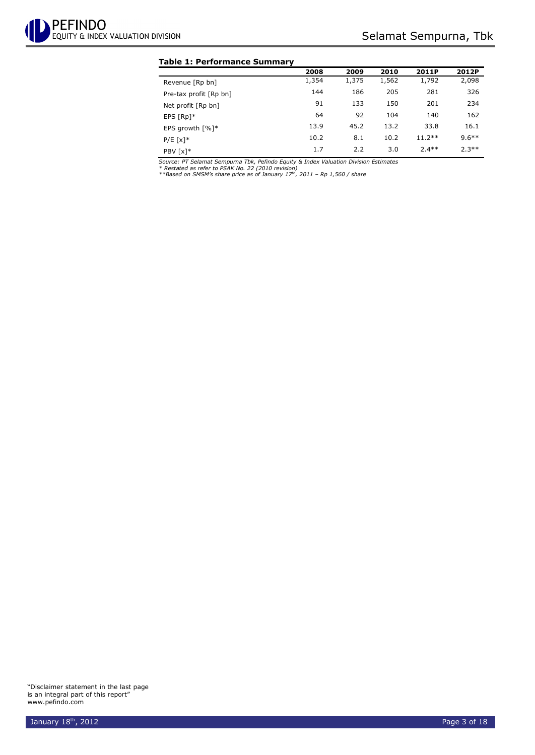#### **Table 1: Performance Summary**

|                                 | 2008  | 2009  | 2010  | 2011P    | 2012P    |
|---------------------------------|-------|-------|-------|----------|----------|
| Revenue [Rp bn]                 | 1,354 | 1,375 | 1,562 | 1,792    | 2,098    |
| Pre-tax profit [Rp bn]          | 144   | 186   | 205   | 281      | 326      |
| Net profit [Rp bn]              | 91    | 133   | 150   | 201      | 234      |
| EPS $[Rp]*$                     | 64    | 92    | 104   | 140      | 162      |
| EPS growth $\lceil \% \rceil$ * | 13.9  | 45.2  | 13.2  | 33.8     | 16.1     |
| $P/E [x]$ *                     | 10.2  | 8.1   | 10.2  | $11.2**$ | $9.6***$ |
| PBV [x]*                        | 1.7   | 2.2   | 3.0   | $7.4**$  | $2.3**$  |

Source: PT Selamat Sempurna Tbk, Pefindo Equity & Index Valuation Division Estimates<br>\* Restated as refer to PSAK No. 22 (2010 revision)<br>\*\*Based on SMSM's share price as of January 17™, 2011 – Rp 1,560 / share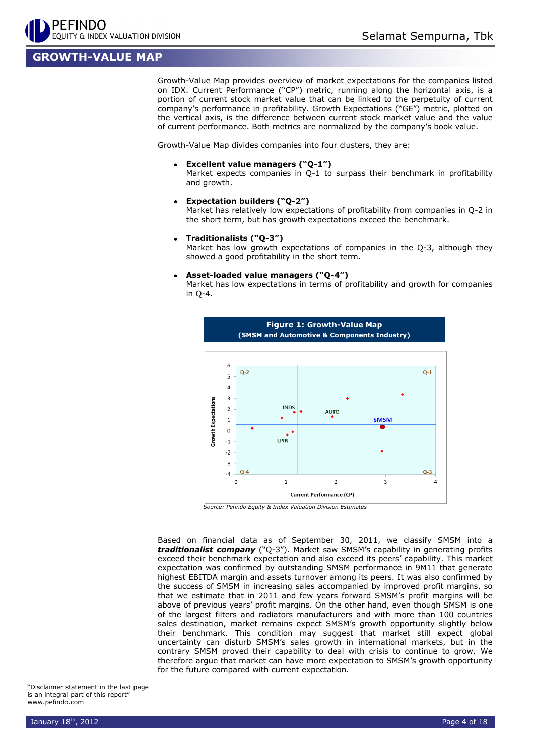## **GROWTH-VALUE MAP**

Growth-Value Map provides overview of market expectations for the companies listed on IDX. Current Performance ("CP") metric, running along the horizontal axis, is a portion of current stock market value that can be linked to the perpetuity of current company's performance in profitability. Growth Expectations ("GE") metric, plotted on the vertical axis, is the difference between current stock market value and the value of current performance. Both metrics are normalized by the company's book value.

Growth-Value Map divides companies into four clusters, they are:

**Excellent value managers ("Q-1")**

Market expects companies in Q-1 to surpass their benchmark in profitability and growth.

**Expectation builders ("Q-2")**

Market has relatively low expectations of profitability from companies in Q-2 in the short term, but has growth expectations exceed the benchmark.

**Traditionalists ("Q-3")**

Market has low growth expectations of companies in the Q-3, although they showed a good profitability in the short term.

#### **Asset-loaded value managers ("Q-4")**

Market has low expectations in terms of profitability and growth for companies in Q-4.



*Source: Pefindo Equity & Index Valuation Division Estimates*

Based on financial data as of September 30, 2011, we classify SMSM into a *traditionalist company* ("Q-3"). Market saw SMSM's capability in generating profits exceed their benchmark expectation and also exceed its peers' capability. This market expectation was confirmed by outstanding SMSM performance in 9M11 that generate highest EBITDA margin and assets turnover among its peers. It was also confirmed by the success of SMSM in increasing sales accompanied by improved profit margins, so that we estimate that in 2011 and few years forward SMSM's profit margins will be above of previous years' profit margins. On the other hand, even though SMSM is one of the largest filters and radiators manufacturers and with more than 100 countries sales destination, market remains expect SMSM's growth opportunity slightly below their benchmark. This condition may suggest that market still expect global uncertainty can disturb SMSM's sales growth in international markets, but in the contrary SMSM proved their capability to deal with crisis to continue to grow. We therefore argue that market can have more expectation to SMSM's growth opportunity for the future compared with current expectation.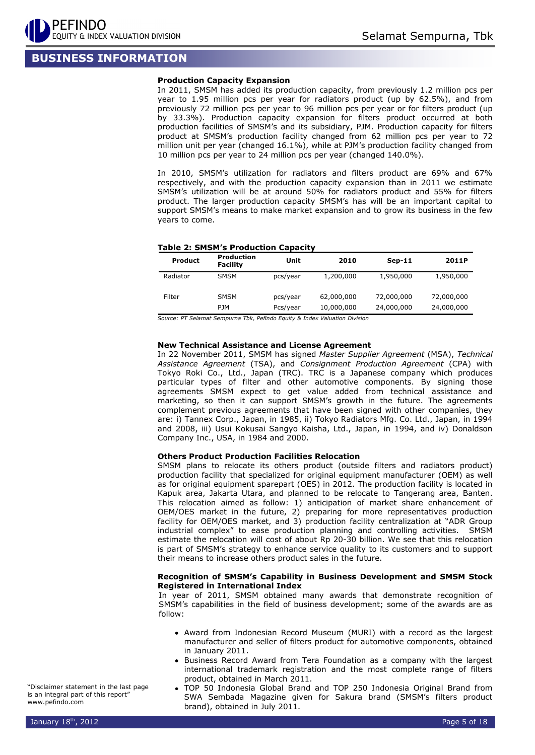## **BUSINESS INFORMATION**

#### **Production Capacity Expansion**

In 2011, SMSM has added its production capacity, from previously 1.2 million pcs per year to 1.95 million pcs per year for radiators product (up by 62.5%), and from previously 72 million pcs per year to 96 million pcs per year or for filters product (up by 33.3%). Production capacity expansion for filters product occurred at both production facilities of SMSM's and its subsidiary, PJM. Production capacity for filters product at SMSM's production facility changed from 62 million pcs per year to 72 million unit per year (changed 16.1%), while at PJM's production facility changed from 10 million pcs per year to 24 million pcs per year (changed 140.0%).

In 2010, SMSM's utilization for radiators and filters product are 69% and 67% respectively, and with the production capacity expansion than in 2011 we estimate SMSM's utilization will be at around 50% for radiators product and 55% for filters product. The larger production capacity SMSM's has will be an important capital to support SMSM's means to make market expansion and to grow its business in the few years to come.

#### **Table 2: SMSM's Production Capacity**

| <b>Product</b> | <b>Production</b><br><b>Facility</b> | Unit                 | 2010                     | $Sep-11$                 | 2011P                    |
|----------------|--------------------------------------|----------------------|--------------------------|--------------------------|--------------------------|
| Radiator       | <b>SMSM</b>                          | pcs/year             | 1,200,000                | 1,950,000                | 1,950,000                |
| Filter         | <b>SMSM</b><br><b>PJM</b>            | pcs/year<br>Pcs/year | 62,000,000<br>10,000,000 | 72,000,000<br>24,000,000 | 72,000,000<br>24,000,000 |

*Source: PT Selamat Sempurna Tbk, Pefindo Equity & Index Valuation Division*

#### **New Technical Assistance and License Agreement**

In 22 November 2011, SMSM has signed *Master Supplier Agreement* (MSA), *Technical Assistance Agreement* (TSA), and *Consignment Production Agreement* (CPA) with Tokyo Roki Co., Ltd., Japan (TRC). TRC is a Japanese company which produces particular types of filter and other automotive components. By signing those agreements SMSM expect to get value added from technical assistance and marketing, so then it can support SMSM's growth in the future. The agreements complement previous agreements that have been signed with other companies, they are: i) Tannex Corp., Japan, in 1985, ii) Tokyo Radiators Mfg. Co. Ltd., Japan, in 1994 and 2008, iii) Usui Kokusai Sangyo Kaisha, Ltd., Japan, in 1994, and iv) Donaldson Company Inc., USA, in 1984 and 2000.

#### **Others Product Production Facilities Relocation**

SMSM plans to relocate its others product (outside filters and radiators product) production facility that specialized for original equipment manufacturer (OEM) as well as for original equipment sparepart (OES) in 2012. The production facility is located in Kapuk area, Jakarta Utara, and planned to be relocate to Tangerang area, Banten. This relocation aimed as follow: 1) anticipation of market share enhancement of OEM/OES market in the future, 2) preparing for more representatives production facility for OEM/OES market, and 3) production facility centralization at "ADR Group industrial complex" to ease production planning and controlling activities. SMSM estimate the relocation will cost of about Rp 20-30 billion. We see that this relocation is part of SMSM's strategy to enhance service quality to its customers and to support their means to increase others product sales in the future.

#### **Recognition of SMSM's Capability in Business Development and SMSM Stock Registered in International Index**

In year of 2011, SMSM obtained many awards that demonstrate recognition of SMSM's capabilities in the field of business development; some of the awards are as follow:

- Award from Indonesian Record Museum (MURI) with a record as the largest manufacturer and seller of filters product for automotive components, obtained in January 2011.
- Business Record Award from Tera Foundation as a company with the largest international trademark registration and the most complete range of filters product, obtained in March 2011.
- TOP 50 Indonesia Global Brand and TOP 250 Indonesia Original Brand from SWA Sembada Magazine given for Sakura brand (SMSM's filters product brand), obtained in July 2011.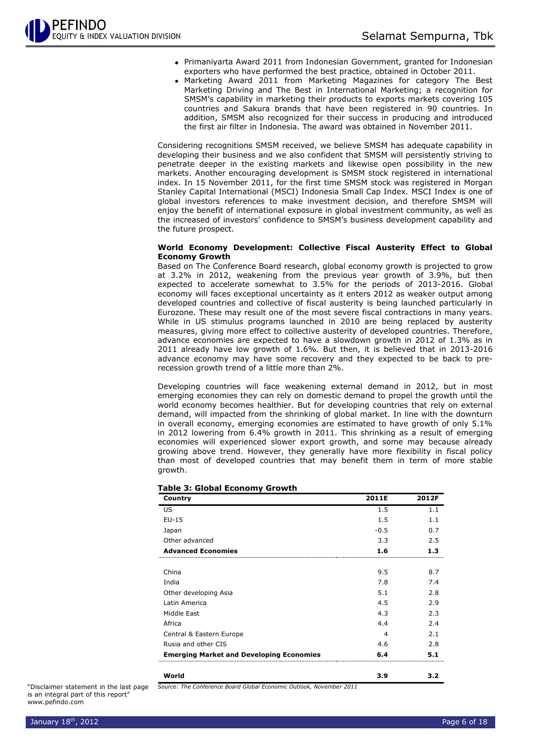- Primaniyarta Award 2011 from Indonesian Government, granted for Indonesian exporters who have performed the best practice, obtained in October 2011.
- Marketing Award 2011 from Marketing Magazines for category The Best Marketing Driving and The Best in International Marketing; a recognition for SMSM's capability in marketing their products to exports markets covering 105 countries and Sakura brands that have been registered in 90 countries. In addition, SMSM also recognized for their success in producing and introduced the first air filter in Indonesia. The award was obtained in November 2011.

Considering recognitions SMSM received, we believe SMSM has adequate capability in developing their business and we also confident that SMSM will persistently striving to penetrate deeper in the existing markets and likewise open possibility in the new markets. Another encouraging development is SMSM stock registered in international index. In 15 November 2011, for the first time SMSM stock was registered in Morgan Stanley Capital International (MSCI) Indonesia Small Cap Index. MSCI Index is one of global investors references to make investment decision, and therefore SMSM will enjoy the benefit of international exposure in global investment community, as well as the increased of investors' confidence to SMSM's business development capability and the future prospect.

#### **World Economy Development: Collective Fiscal Austerity Effect to Global Economy Growth**

Based on The Conference Board research, global economy growth is projected to grow at 3.2% in 2012, weakening from the previous year growth of 3.9%, but then expected to accelerate somewhat to 3.5% for the periods of 2013-2016. Global economy will faces exceptional uncertainty as it enters 2012 as weaker output among developed countries and collective of fiscal austerity is being launched particularly in Eurozone. These may result one of the most severe fiscal contractions in many years. While in US stimulus programs launched in 2010 are being replaced by austerity measures, giving more effect to collective austerity of developed countries. Therefore, advance economies are expected to have a slowdown growth in 2012 of 1.3% as in 2011 already have low growth of 1.6%. But then, it is believed that in 2013-2016 advance economy may have some recovery and they expected to be back to prerecession growth trend of a little more than 2%.

Developing countries will face weakening external demand in 2012, but in most emerging economies they can rely on domestic demand to propel the growth until the world economy becomes healthier. But for developing countries that rely on external demand, will impacted from the shrinking of global market. In line with the downturn in overall economy, emerging economies are estimated to have growth of only 5.1% in 2012 lowering from 6.4% growth in 2011. This shrinking as a result of emerging economies will experienced slower export growth, and some may because already growing above trend. However, they generally have more flexibility in fiscal policy than most of developed countries that may benefit them in term of more stable growth.

| Country                                                             | 2011E  | 2012F |
|---------------------------------------------------------------------|--------|-------|
| US                                                                  | 1.5    | 1.1   |
| $EU-15$                                                             | 1.5    | 1.1   |
| Japan                                                               | $-0.5$ | 0.7   |
| Other advanced                                                      | 3.3    | 2.5   |
| <b>Advanced Economies</b>                                           | 1.6    | 1.3   |
| China                                                               | 9.5    | 8.7   |
| India                                                               | 7.8    | 7.4   |
| Other developing Asia                                               | 5.1    | 2.8   |
| Latin America                                                       | 4.5    | 2.9   |
| Middle East                                                         | 4.3    | 2.3   |
| Africa                                                              | 4.4    | 2.4   |
| Central & Eastern Europe                                            | 4      | 2.1   |
| Rusia and other CIS                                                 | 4.6    | 2.8   |
| <b>Emerging Market and Developing Economies</b>                     | 6.4    | 5.1   |
| World                                                               | 3.9    | 3.2   |
| Source: The Conference Board Global Economic Outlook, November 2011 |        |       |

**Table 3: Global Economy Growth**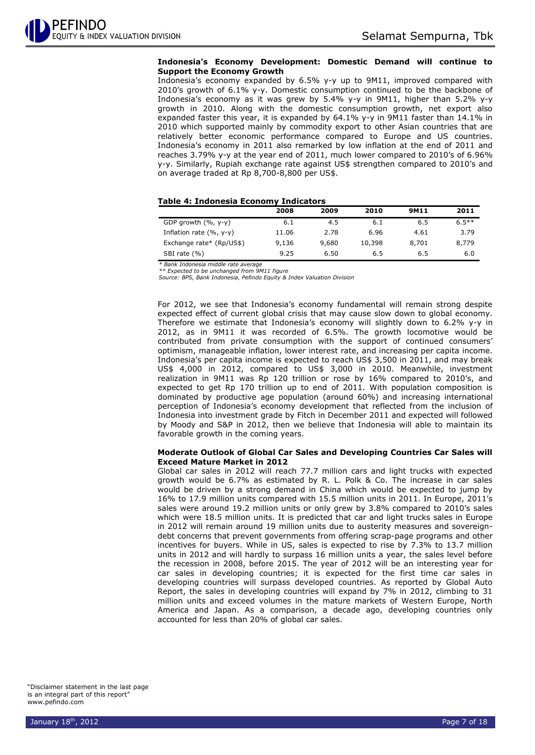#### **Indonesia's Economy Development: Domestic Demand will continue to Support the Economy Growth**

Indonesia's economy expanded by 6.5% y-y up to 9M11, improved compared with 2010's growth of 6.1% y-y. Domestic consumption continued to be the backbone of Indonesia's economy as it was grew by 5.4% y-y in 9M11, higher than 5.2% y-y growth in 2010. Along with the domestic consumption growth, net export also expanded faster this year, it is expanded by 64.1% y-y in 9M11 faster than 14.1% in 2010 which supported mainly by commodity export to other Asian countries that are relatively better economic performance compared to Europe and US countries. Indonesia's economy in 2011 also remarked by low inflation at the end of 2011 and reaches 3.79% y-y at the year end of 2011, much lower compared to 2010's of 6.96% y-y. Similarly, Rupiah exchange rate against US\$ strengthen compared to 2010's and on average traded at Rp 8,700-8,800 per US\$.

#### **Table 4: Indonesia Economy Indicators**

|                            | 2008  | 2009  | 2010   | 9M11  | 2011     |
|----------------------------|-------|-------|--------|-------|----------|
| GDP growth $(%$ , y-y)     | 6.1   | 4.5   | 6.1    | 6.5   | $6.5***$ |
| Inflation rate $(% , y-y)$ | 11.06 | 2.78  | 6.96   | 4.61  | 3.79     |
| Exchange rate* (Rp/US\$)   | 9,136 | 9,680 | 10,398 | 8,701 | 8,779    |
| SBI rate (%)               | 9.25  | 6.50  | 6.5    | 6.5   | 6.0      |

*\* Bank Indonesia middle rate average \*\* Expected to be unchanged from 9M11 figure*

*Source: BPS, Bank Indonesia, Pefindo Equity & Index Valuation Division*

For 2012, we see that Indonesia's economy fundamental will remain strong despite expected effect of current global crisis that may cause slow down to global economy. Therefore we estimate that Indonesia's economy will slightly down to 6.2% y-y in 2012, as in 9M11 it was recorded of 6.5%. The growth locomotive would be contributed from private consumption with the support of continued consumers' optimism, manageable inflation, lower interest rate, and increasing per capita income. Indonesia's per capita income is expected to reach US\$ 3,500 in 2011, and may break US\$ 4,000 in 2012, compared to US\$ 3,000 in 2010. Meanwhile, investment realization in 9M11 was Rp 120 trillion or rose by 16% compared to 2010's, and expected to get Rp 170 trillion up to end of 2011. With population composition is dominated by productive age population (around 60%) and increasing international perception of Indonesia's economy development that reflected from the inclusion of Indonesia into investment grade by Fitch in December 2011 and expected will followed by Moody and S&P in 2012, then we believe that Indonesia will able to maintain its favorable growth in the coming years.

#### **Moderate Outlook of Global Car Sales and Developing Countries Car Sales will Exceed Mature Market in 2012**

Global car sales in 2012 will reach 77.7 million cars and light trucks with expected growth would be 6.7% as estimated by R. L. Polk & Co. The increase in car sales would be driven by a strong demand in China which would be expected to jump by 16% to 17.9 million units compared with 15.5 million units in 2011. In Europe, 2011's sales were around 19.2 million units or only grew by 3.8% compared to 2010's sales which were 18.5 million units. It is predicted that car and light trucks sales in Europe in 2012 will remain around 19 million units due to austerity measures and sovereigndebt concerns that prevent governments from offering scrap-page programs and other incentives for buyers. While in US, sales is expected to rise by 7.3% to 13.7 million units in 2012 and will hardly to surpass 16 million units a year, the sales level before the recession in 2008, before 2015. The year of 2012 will be an interesting year for car sales in developing countries; it is expected for the first time car sales in developing countries will surpass developed countries. As reported by Global Auto Report, the sales in developing countries will expand by 7% in 2012, climbing to 31 million units and exceed volumes in the mature markets of Western Europe, North America and Japan. As a comparison, a decade ago, developing countries only accounted for less than 20% of global car sales.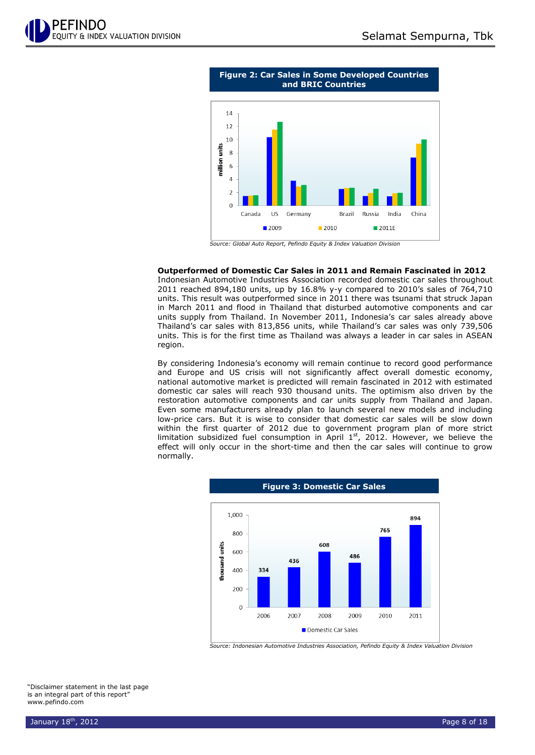



#### **Outperformed of Domestic Car Sales in 2011 and Remain Fascinated in 2012**

Indonesian Automotive Industries Association recorded domestic car sales throughout 2011 reached 894,180 units, up by 16.8% y-y compared to 2010's sales of 764,710 units. This result was outperformed since in 2011 there was tsunami that struck Japan in March 2011 and flood in Thailand that disturbed automotive components and car units supply from Thailand. In November 2011, Indonesia's car sales already above Thailand's car sales with 813,856 units, while Thailand's car sales was only 739,506 units. This is for the first time as Thailand was always a leader in car sales in ASEAN region.

By considering Indonesia's economy will remain continue to record good performance and Europe and US crisis will not significantly affect overall domestic economy, national automotive market is predicted will remain fascinated in 2012 with estimated domestic car sales will reach 930 thousand units. The optimism also driven by the restoration automotive components and car units supply from Thailand and Japan. Even some manufacturers already plan to launch several new models and including low-price cars. But it is wise to consider that domestic car sales will be slow down within the first quarter of 2012 due to government program plan of more strict limitation subsidized fuel consumption in April  $1<sup>st</sup>$ , 2012. However, we believe the effect will only occur in the short-time and then the car sales will continue to grow normally.



*Source: Indonesian Automotive Industries Association, Pefindo Equity & Index Valuation Division*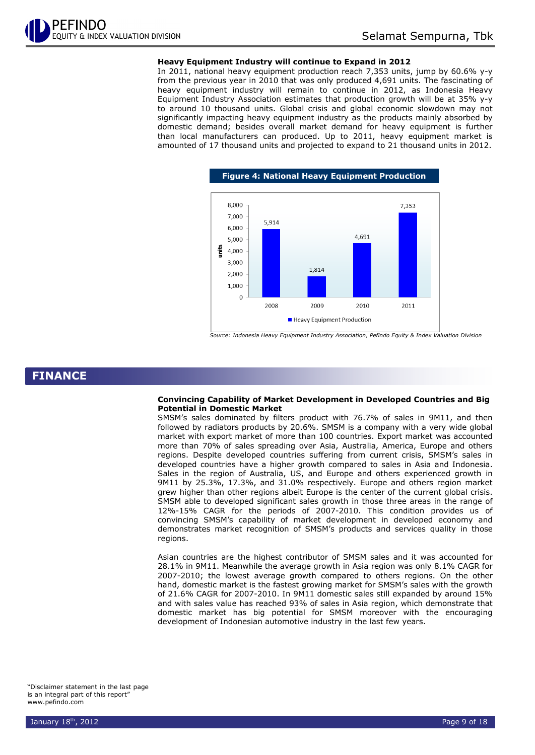#### **Heavy Equipment Industry will continue to Expand in 2012**

In 2011, national heavy equipment production reach 7,353 units, jump by 60.6% y-y from the previous year in 2010 that was only produced 4,691 units. The fascinating of heavy equipment industry will remain to continue in 2012, as Indonesia Heavy Equipment Industry Association estimates that production growth will be at 35% y-y to around 10 thousand units. Global crisis and global economic slowdown may not significantly impacting heavy equipment industry as the products mainly absorbed by domestic demand; besides overall market demand for heavy equipment is further than local manufacturers can produced. Up to 2011, heavy equipment market is amounted of 17 thousand units and projected to expand to 21 thousand units in 2012.



*Source: Indonesia Heavy Equipment Industry Association, Pefindo Equity & Index Valuation Division*

### **FINANCE**

#### **Convincing Capability of Market Development in Developed Countries and Big Potential in Domestic Market**

SMSM's sales dominated by filters product with 76.7% of sales in 9M11, and then followed by radiators products by 20.6%. SMSM is a company with a very wide global market with export market of more than 100 countries. Export market was accounted more than 70% of sales spreading over Asia, Australia, America, Europe and others regions. Despite developed countries suffering from current crisis, SMSM's sales in developed countries have a higher growth compared to sales in Asia and Indonesia. Sales in the region of Australia, US, and Europe and others experienced growth in 9M11 by 25.3%, 17.3%, and 31.0% respectively. Europe and others region market grew higher than other regions albeit Europe is the center of the current global crisis. SMSM able to developed significant sales growth in those three areas in the range of 12%-15% CAGR for the periods of 2007-2010. This condition provides us of convincing SMSM's capability of market development in developed economy and demonstrates market recognition of SMSM's products and services quality in those regions.

Asian countries are the highest contributor of SMSM sales and it was accounted for 28.1% in 9M11. Meanwhile the average growth in Asia region was only 8.1% CAGR for 2007-2010; the lowest average growth compared to others regions. On the other hand, domestic market is the fastest growing market for SMSM's sales with the growth of 21.6% CAGR for 2007-2010. In 9M11 domestic sales still expanded by around 15% and with sales value has reached 93% of sales in Asia region, which demonstrate that domestic market has big potential for SMSM moreover with the encouraging development of Indonesian automotive industry in the last few years.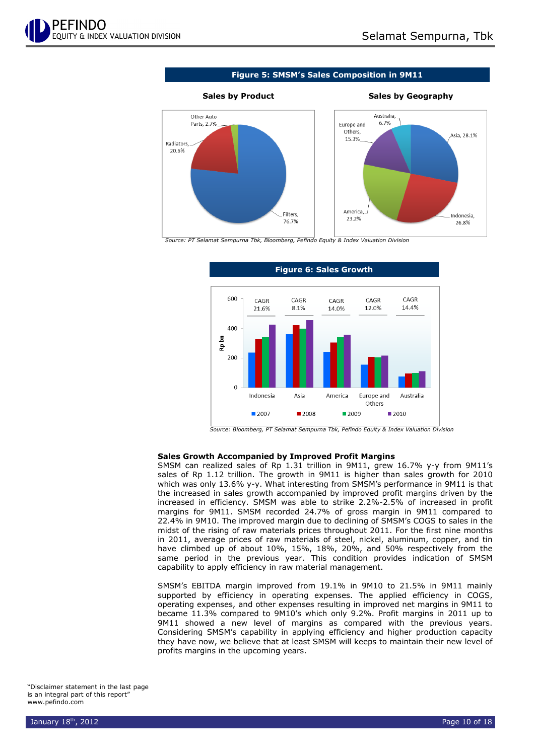

**Figure 5: SMSM's Sales Composition in 9M11**



20.6%

#### **Sales by Product Sales by Geography**



*Source: PT Selamat Sempurna Tbk, Bloomberg, Pefindo Equity & Index Valuation Division*



#### **Sales Growth Accompanied by Improved Profit Margins**

SMSM can realized sales of Rp 1.31 trillion in 9M11, grew 16.7% y-y from 9M11's sales of Rp 1.12 trillion. The growth in 9M11 is higher than sales growth for 2010 which was only 13.6% y-y. What interesting from SMSM's performance in 9M11 is that the increased in sales growth accompanied by improved profit margins driven by the increased in efficiency. SMSM was able to strike 2.2%-2.5% of increased in profit margins for 9M11. SMSM recorded 24.7% of gross margin in 9M11 compared to 22.4% in 9M10. The improved margin due to declining of SMSM's COGS to sales in the midst of the rising of raw materials prices throughout 2011. For the first nine months in 2011, average prices of raw materials of steel, nickel, aluminum, copper, and tin have climbed up of about 10%, 15%, 18%, 20%, and 50% respectively from the same period in the previous year. This condition provides indication of SMSM capability to apply efficiency in raw material management.

SMSM's EBITDA margin improved from 19.1% in 9M10 to 21.5% in 9M11 mainly supported by efficiency in operating expenses. The applied efficiency in COGS, operating expenses, and other expenses resulting in improved net margins in 9M11 to became 11.3% compared to 9M10's which only 9.2%. Profit margins in 2011 up to 9M11 showed a new level of margins as compared with the previous years. Considering SMSM's capability in applying efficiency and higher production capacity they have now, we believe that at least SMSM will keeps to maintain their new level of profits margins in the upcoming years.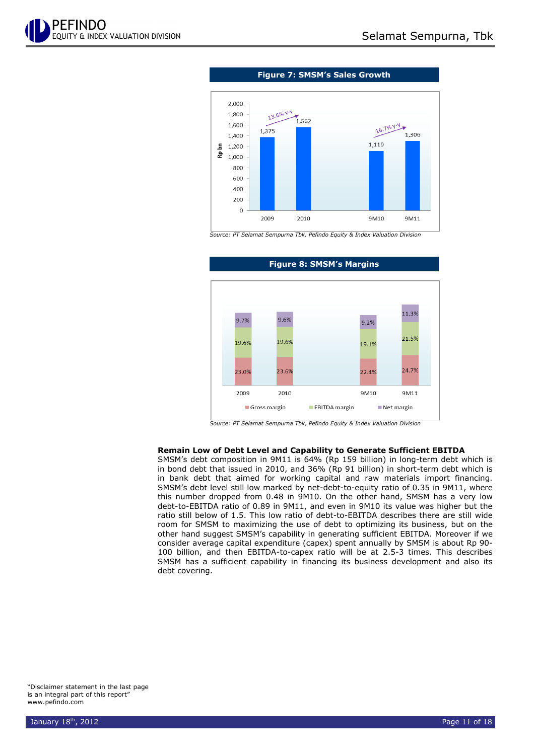



*Source: PT Selamat Sempurna Tbk, Pefindo Equity & Index Valuation Division*



#### **Figure 8: SMSM's Margins**

*Source: PT Selamat Sempurna Tbk, Pefindo Equity & Index Valuation Division*

#### **Remain Low of Debt Level and Capability to Generate Sufficient EBITDA**

SMSM's debt composition in 9M11 is 64% (Rp 159 billion) in long-term debt which is in bond debt that issued in 2010, and 36% (Rp 91 billion) in short-term debt which is in bank debt that aimed for working capital and raw materials import financing. SMSM's debt level still low marked by net-debt-to-equity ratio of 0.35 in 9M11, where this number dropped from 0.48 in 9M10. On the other hand, SMSM has a very low debt-to-EBITDA ratio of 0.89 in 9M11, and even in 9M10 its value was higher but the ratio still below of 1.5. This low ratio of debt-to-EBITDA describes there are still wide room for SMSM to maximizing the use of debt to optimizing its business, but on the other hand suggest SMSM's capability in generating sufficient EBITDA. Moreover if we consider average capital expenditure (capex) spent annually by SMSM is about Rp 90- 100 billion, and then EBITDA-to-capex ratio will be at 2.5-3 times. This describes SMSM has a sufficient capability in financing its business development and also its debt covering.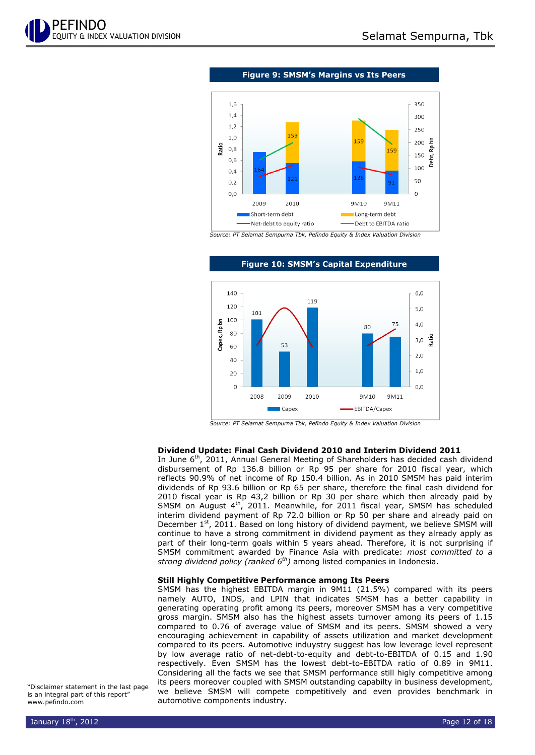

**Figure 9: SMSM's Margins vs Its Peers**



*Source: PT Selamat Sempurna Tbk, Pefindo Equity & Index Valuation Division*



#### **Figure 10: SMSM's Capital Expenditure**

*Source: PT Selamat Sempurna Tbk, Pefindo Equity & Index Valuation Division*

#### **Dividend Update: Final Cash Dividend 2010 and Interim Dividend 2011**

In June 6<sup>th</sup>, 2011, Annual General Meeting of Shareholders has decided cash dividend disbursement of Rp 136.8 billion or Rp 95 per share for 2010 fiscal year, which reflects 90.9% of net income of Rp 150.4 billion. As in 2010 SMSM has paid interim dividends of Rp 93.6 billion or Rp 65 per share, therefore the final cash dividend for 2010 fiscal year is Rp 43,2 billion or Rp 30 per share which then already paid by SMSM on August  $4<sup>th</sup>$ , 2011. Meanwhile, for 2011 fiscal year, SMSM has scheduled interim dividend payment of Rp 72.0 billion or Rp 50 per share and already paid on December  $1<sup>st</sup>$ , 2011. Based on long history of dividend payment, we believe SMSM will continue to have a strong commitment in dividend payment as they already apply as part of their long-term goals within 5 years ahead. Therefore, it is not surprising if SMSM commitment awarded by Finance Asia with predicate: *most committed to a strong dividend policy (ranked 6th)* among listed companies in Indonesia.

#### **Still Highly Competitive Performance among Its Peers**

SMSM has the highest EBITDA margin in 9M11 (21.5%) compared with its peers namely AUTO, INDS, and LPIN that indicates SMSM has a better capability in generating operating profit among its peers, moreover SMSM has a very competitive gross margin. SMSM also has the highest assets turnover among its peers of 1.15 compared to 0.76 of average value of SMSM and its peers. SMSM showed a very encouraging achievement in capability of assets utilization and market development compared to its peers. Automotive induystry suggest has low leverage level represent by low average ratio of net-debt-to-equity and debt-to-EBITDA of 0.15 and 1.90 respectively. Even SMSM has the lowest debt-to-EBITDA ratio of 0.89 in 9M11. Considering all the facts we see that SMSM performance still higly competitive among its peers moreover coupled with SMSM outstanding capabilty in business development, we believe SMSM will compete competitively and even provides benchmark in automotive components industry.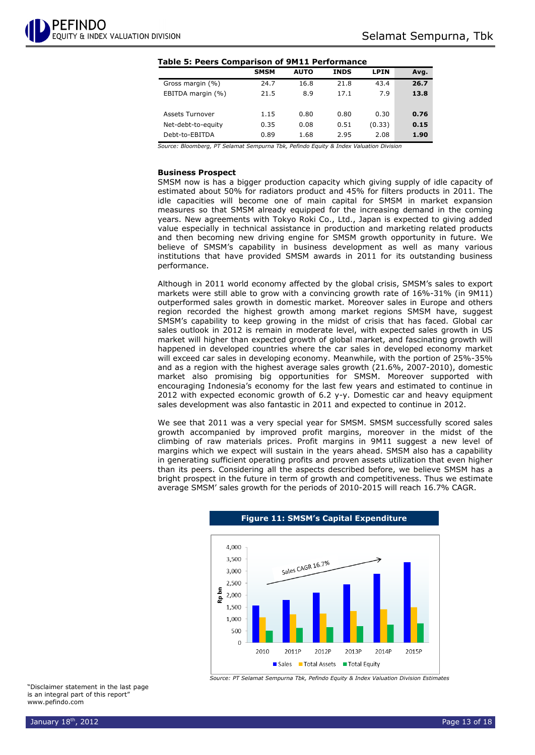#### **Table 5: Peers Comparison of 9M11 Performance**

|                    | <b>SMSM</b> | <b>AUTO</b> | <b>INDS</b> | <b>LPIN</b> | Avg. |
|--------------------|-------------|-------------|-------------|-------------|------|
| Gross margin (%)   | 24.7        | 16.8        | 21.8        | 43.4        | 26.7 |
| EBITDA margin (%)  | 21.5        | 8.9         | 17.1        | 7.9         | 13.8 |
|                    |             |             |             |             |      |
| Assets Turnover    | 1.15        | 0.80        | 0.80        | 0.30        | 0.76 |
| Net-debt-to-equity | 0.35        | 0.08        | 0.51        | (0.33)      | 0.15 |
| Debt-to-EBITDA     | 0.89        | 1.68        | 2.95        | 2.08        | 1.90 |
|                    |             |             |             |             |      |

*Source: Bloomberg, PT Selamat Sempurna Tbk, Pefindo Equity & Index Valuation Division*

#### **Business Prospect**

SMSM now is has a bigger production capacity which giving supply of idle capacity of estimated about 50% for radiators product and 45% for filters products in 2011. The idle capacities will become one of main capital for SMSM in market expansion measures so that SMSM already equipped for the increasing demand in the coming years. New agreements with Tokyo Roki Co., Ltd., Japan is expected to giving added value especially in technical assistance in production and marketing related products and then becoming new driving engine for SMSM growth opportunity in future. We believe of SMSM's capability in business development as well as many various institutions that have provided SMSM awards in 2011 for its outstanding business performance.

Although in 2011 world economy affected by the global crisis, SMSM's sales to export markets were still able to grow with a convincing growth rate of 16%-31% (in 9M11) outperformed sales growth in domestic market. Moreover sales in Europe and others region recorded the highest growth among market regions SMSM have, suggest SMSM's capability to keep growing in the midst of crisis that has faced. Global car sales outlook in 2012 is remain in moderate level, with expected sales growth in US market will higher than expected growth of global market, and fascinating growth will happened in developed countries where the car sales in developed economy market will exceed car sales in developing economy. Meanwhile, with the portion of 25%-35% and as a region with the highest average sales growth (21.6%, 2007-2010), domestic market also promising big opportunities for SMSM. Moreover supported with encouraging Indonesia's economy for the last few years and estimated to continue in 2012 with expected economic growth of 6.2 y-y. Domestic car and heavy equipment sales development was also fantastic in 2011 and expected to continue in 2012.

We see that 2011 was a very special year for SMSM. SMSM successfully scored sales growth accompanied by improved profit margins, moreover in the midst of the climbing of raw materials prices. Profit margins in 9M11 suggest a new level of margins which we expect will sustain in the years ahead. SMSM also has a capability in generating sufficient operating profits and proven assets utilization that even higher than its peers. Considering all the aspects described before, we believe SMSM has a bright prospect in the future in term of growth and competitiveness. Thus we estimate average SMSM' sales growth for the periods of 2010-2015 will reach 16.7% CAGR.



*Source: PT Selamat Sempurna Tbk, Pefindo Equity & Index Valuation Division Estimates*

**Figure 11: SMSM's Capital Expenditure**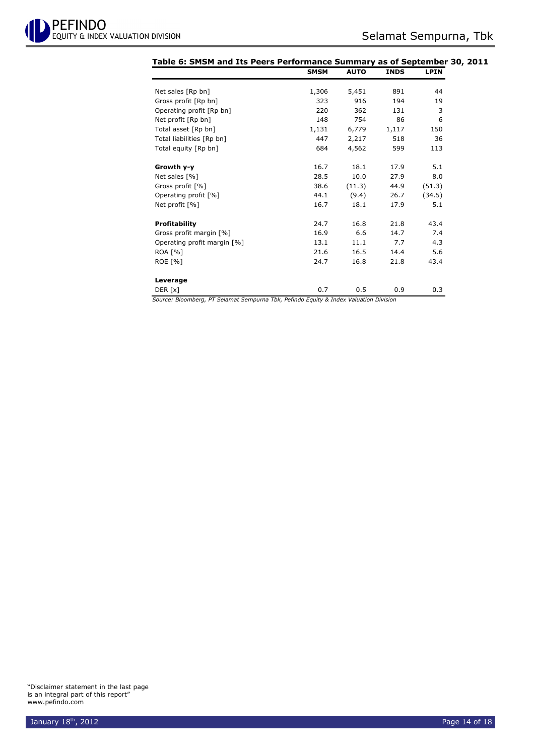| Table 6: SMSM and Its Peers Performance Summary as of September 30, 2011 | <b>SMSM</b> | <b>AUTO</b> | <b>INDS</b> | <b>LPIN</b> |
|--------------------------------------------------------------------------|-------------|-------------|-------------|-------------|
|                                                                          |             |             |             |             |
| Net sales [Rp bn]                                                        | 1,306       | 5,451       | 891         | 44          |
| Gross profit [Rp bn]                                                     | 323         | 916         | 194         | 19          |
| Operating profit [Rp bn]                                                 | 220         | 362         | 131         | 3           |
| Net profit [Rp bn]                                                       | 148         | 754         | 86          | 6           |
| Total asset [Rp bn]                                                      | 1,131       | 6,779       | 1,117       | 150         |
| Total liabilities [Rp bn]                                                | 447         | 2,217       | 518         | 36          |
| Total equity [Rp bn]                                                     | 684         | 4,562       | 599         | 113         |
| Growth y-y                                                               | 16.7        | 18.1        | 17.9        | 5.1         |
| Net sales [%]                                                            | 28.5        | 10.0        | 27.9        | 8.0         |
| Gross profit [%]                                                         | 38.6        | (11.3)      | 44.9        | (51.3)      |
| Operating profit [%]                                                     | 44.1        | (9.4)       | 26.7        | (34.5)      |
| Net profit [%]                                                           | 16.7        | 18.1        | 17.9        | 5.1         |
| <b>Profitability</b>                                                     | 24.7        | 16.8        | 21.8        | 43.4        |
| Gross profit margin [%]                                                  | 16.9        | 6.6         | 14.7        | 7.4         |
| Operating profit margin [%]                                              | 13.1        | 11.1        | 7.7         | 4.3         |
| <b>ROA [%]</b>                                                           | 21.6        | 16.5        | 14.4        | 5.6         |
| ROE [%]                                                                  | 24.7        | 16.8        | 21.8        | 43.4        |
| Leverage                                                                 |             |             |             |             |
| DER [x]                                                                  | 0.7         | 0.5         | 0.9         | 0.3         |

*Source: Bloomberg, PT Selamat Sempurna Tbk, Pefindo Equity & Index Valuation Division*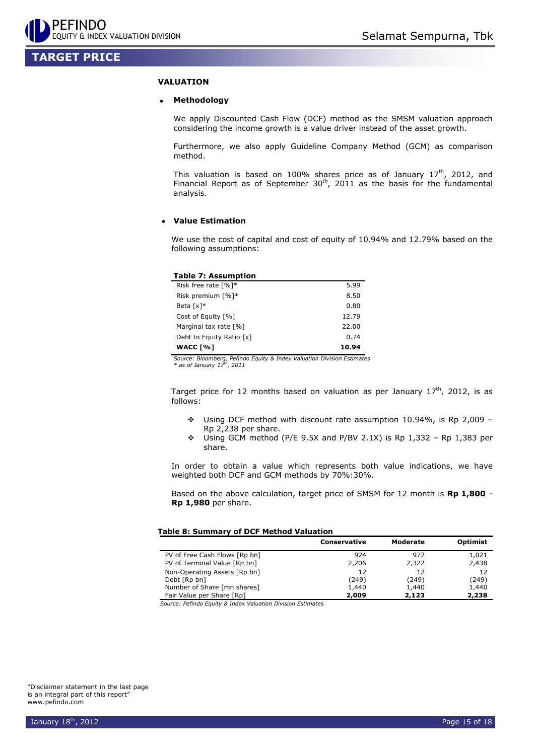## **TARGET PRICE**

#### **VALUATION**

#### **Methodology**

We apply Discounted Cash Flow (DCF) method as the SMSM valuation approach considering the income growth is a value driver instead of the asset growth.

Furthermore, we also apply Guideline Company Method (GCM) as comparison method.

This valuation is based on 100% shares price as of January  $17<sup>th</sup>$ , 2012, and Financial Report as of September  $30<sup>th</sup>$ , 2011 as the basis for the fundamental analysis.

#### **Value Estimation**

We use the cost of capital and cost of equity of 10.94% and 12.79% based on the following assumptions:

| <b>Table 7: Assumption</b>          |       |
|-------------------------------------|-------|
| Risk free rate $\lceil \% \rceil$ * | 5.99  |
| Risk premium [%]*                   | 8.50  |
| Beta $\lceil x \rceil^*$            | 0.80  |
| Cost of Equity [%]                  | 12.79 |
| Marginal tax rate [%]               | 22.00 |
| Debt to Equity Ratio [x]            | 0.74  |
| <b>WACC [%]</b>                     | 10.94 |

*Source: Bloomberg, Pefindo Equity & Index Valuation Division Estimates \* as of January 17 th , 2011* 

Target price for 12 months based on valuation as per January  $17<sup>th</sup>$ , 2012, is as follows:

- Using DCF method with discount rate assumption 10.94%, is Rp 2,009 Rp 2,238 per share.
- $\div$  Using GCM method (P/E 9.5X and P/BV 2.1X) is Rp 1,332 Rp 1,383 per share.

In order to obtain a value which represents both value indications, we have weighted both DCF and GCM methods by 70%:30%.

Based on the above calculation, target price of SMSM for 12 month is **Rp 1,800** - **Rp 1,980** per share.

#### **Table 8: Summary of DCF Method Valuation**

|                               | <b>Conservative</b> | Moderate | <b>Optimist</b> |
|-------------------------------|---------------------|----------|-----------------|
| PV of Free Cash Flows [Rp bn] | 924                 | 972      | 1,021           |
| PV of Terminal Value [Rp bn]  | 2,206               | 2,322    | 2,438           |
| Non-Operating Assets [Rp bn]  | 12                  | 12       | 12              |
| Debt [Rp bn]                  | (249)               | (249)    | (249)           |
| Number of Share [mn shares]   | 1,440               | 1,440    | 1,440           |
| Fair Value per Share [Rp]     | 2,009               | 2,123    | 2,238           |

*Source: Pefindo Equity & Index Valuation Division Estimates*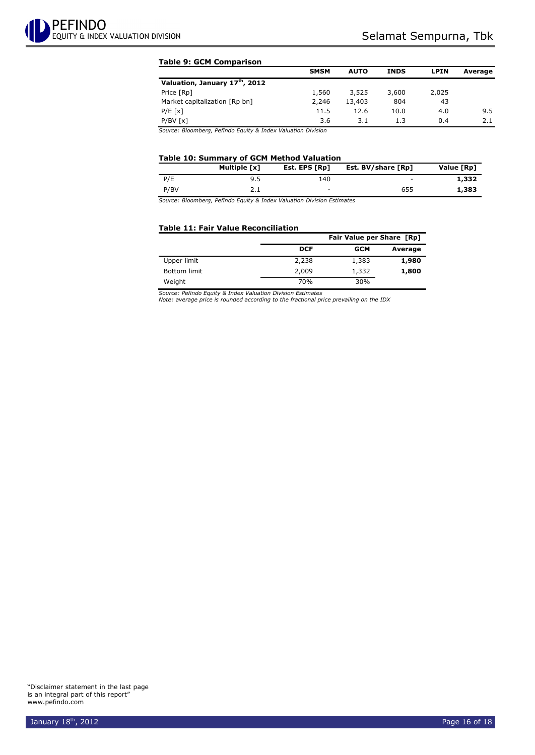#### **Table 9: GCM Comparison**

|                               | <b>SMSM</b> | <b>AUTO</b> | <b>INDS</b> | <b>LPIN</b> | Average |
|-------------------------------|-------------|-------------|-------------|-------------|---------|
| Valuation, January 17th, 2012 |             |             |             |             |         |
| Price [Rp]                    | 1,560       | 3,525       | 3,600       | 2,025       |         |
| Market capitalization [Rp bn] | 2,246       | 13,403      | 804         | 43          |         |
| $P/E$ [x]                     | 11.5        | 12.6        | 10.0        | 4.0         | 9.5     |
| $P/BV$ [x]                    | 3.6         | 3.1         | 1.3         | 0.4         | 2.1     |
| _ _ _ _ _ . _ _<br>$ -$       | $   -$      |             |             |             |         |

*Source: Bloomberg, Pefindo Equity & Index Valuation Division*

#### **Table 10: Summary of GCM Method Valuation**

|      | Multiple [x] | Est. EPS [Rp] | Est. BV/share [Rp] | Value [Rp] |
|------|--------------|---------------|--------------------|------------|
| P/E  | 9.5          | 140           | -                  | 1,332      |
| P/BV |              | $\sim$        | 655                | 1,383      |

*Source: Bloomberg, Pefindo Equity & Index Valuation Division Estimates*

#### **Table 11: Fair Value Reconciliation**

|                     |            | <b>Fair Value per Share [Rp]</b> |         |  |  |  |
|---------------------|------------|----------------------------------|---------|--|--|--|
|                     | <b>DCF</b> | <b>GCM</b>                       | Average |  |  |  |
| Upper limit         | 2,238      | 1,383                            | 1,980   |  |  |  |
| <b>Bottom limit</b> | 2,009      | 1,332                            | 1,800   |  |  |  |
| Weight              | 70%        | 30%                              |         |  |  |  |

*Source: Pefindo Equity & Index Valuation Division Estimates Note: average price is rounded according to the fractional price prevailing on the IDX*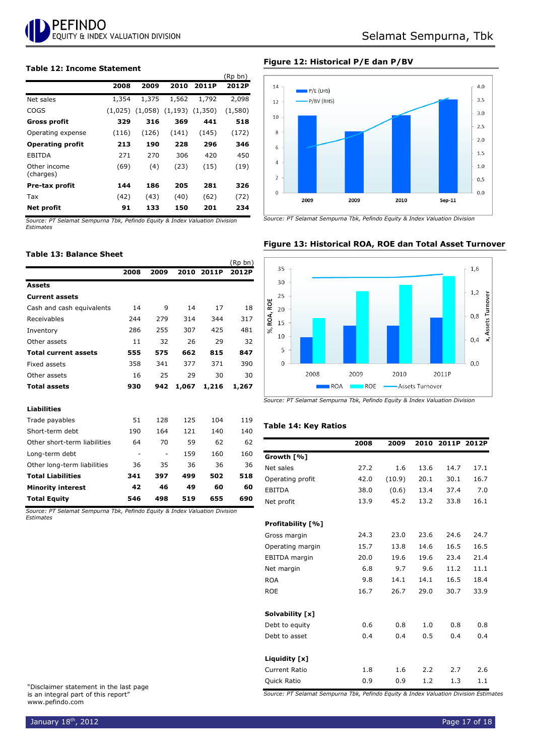

#### **Table 12: Income Statement**

|                           |         |       |                               |       | נווע עת |
|---------------------------|---------|-------|-------------------------------|-------|---------|
|                           | 2008    | 2009  | 2010                          | 2011P | 2012P   |
| Net sales                 | 1,354   | 1,375 | 1,562                         | 1,792 | 2,098   |
| COGS                      | (1,025) |       | $(1,058)$ $(1,193)$ $(1,350)$ |       | (1,580) |
| Gross profit              | 329     | 316   | 369                           | 441   | 518     |
| Operating expense         | (116)   | (126) | (141)                         | (145) | (172)   |
| <b>Operating profit</b>   | 213     | 190   | 228                           | 296   | 346     |
| EBITDA                    | 271     | 270   | 306                           | 420   | 450     |
| Other income<br>(charges) | (69)    | (4)   | (23)                          | (15)  | (19)    |
| Pre-tax profit            | 144     | 186   | 205                           | 281   | 326     |
| Tax                       | (42)    | (43)  | (40)                          | (62)  | (72)    |
| Net profit                | 91      | 133   | 150                           | 201   | 234     |

*Source: PT Selamat Sempurna Tbk, Pefindo Equity & Index Valuation Division Estimates*

#### **Table 13: Balance Sheet**

|                              |      |      |       |       | (Rp bn) |
|------------------------------|------|------|-------|-------|---------|
|                              | 2008 | 2009 | 2010  | 2011P | 2012P   |
| <b>Assets</b>                |      |      |       |       |         |
| <b>Current assets</b>        |      |      |       |       |         |
| Cash and cash equivalents    | 14   | 9    | 14    | 17    | 18      |
| Receivables                  | 244  | 279  | 314   | 344   | 317     |
| Inventory                    | 286  | 255  | 307   | 425   | 481     |
| Other assets                 | 11   | 32   | 26    | 29    | 32      |
| <b>Total current assets</b>  | 555  | 575  | 662   | 815   | 847     |
| Fixed assets                 | 358  | 341  | 377   | 371   | 390     |
| Other assets                 | 16   | 25   | 29    | 30    | 30      |
| <b>Total assets</b>          | 930  | 942  | 1,067 | 1,216 | 1,267   |
| <b>Liabilities</b>           |      |      |       |       |         |
| Trade payables               | 51   | 128  | 125   | 104   | 119     |
| Short-term debt              | 190  | 164  | 121   | 140   | 140     |
| Other short-term liabilities | 64   | 70   | 59    | 62    | 62      |
| Long-term debt               | ۰    |      | 159   | 160   | 160     |
| Other long-term liabilities  | 36   | 35   | 36    | 36    | 36      |
| <b>Total Liabilities</b>     | 341  | 397  | 499   | 502   | 518     |
| <b>Minority interest</b>     | 42   | 46   | 49    | 60    | 60      |
| <b>Total Equity</b>          | 546  | 498  | 519   | 655   | 690     |

*Source: PT Selamat Sempurna Tbk, Pefindo Equity & Index Valuation Division Estimates*

"Disclaimer statement in the last page is an integral part of this report" www.pefindo.com

#### **Figure 12: Historical P/E dan P/BV**

 $(n + h)^2$ 



*Source: PT Selamat Sempurna Tbk, Pefindo Equity & Index Valuation Division*



#### **Figure 13: Historical ROA, ROE dan Total Asset Turnover**



#### **Table 14: Key Ratios**

|                          | 2008 | 2009   | 2010 |      | 2011P 2012P |
|--------------------------|------|--------|------|------|-------------|
| Growth [%]               |      |        |      |      |             |
| Net sales                | 27.2 | 1.6    | 13.6 | 14.7 | 17.1        |
| Operating profit         | 42.0 | (10.9) | 20.1 | 30.1 | 16.7        |
| <b>EBITDA</b>            | 38.0 | (0.6)  | 13.4 | 37.4 | 7.0         |
| Net profit               | 13.9 | 45.2   | 13.2 | 33.8 | 16.1        |
| <b>Profitability [%]</b> |      |        |      |      |             |
| Gross margin             | 24.3 | 23.0   | 23.6 | 24.6 | 24.7        |
| Operating margin         | 15.7 | 13.8   | 14.6 | 16.5 | 16.5        |
| EBITDA margin            | 20.0 | 19.6   | 19.6 | 23.4 | 21.4        |
| Net margin               | 6.8  | 9.7    | 9.6  | 11.2 | 11.1        |
| <b>ROA</b>               | 9.8  | 14.1   | 14.1 | 16.5 | 18.4        |
| <b>ROE</b>               | 16.7 | 26.7   | 29.0 | 30.7 | 33.9        |
| Solvability [x]          |      |        |      |      |             |
| Debt to equity           | 0.6  | 0.8    | 1.0  | 0.8  | 0.8         |
| Debt to asset            | 0.4  | 0.4    | 0.5  | 0.4  | 0.4         |
| Liquidity [x]            |      |        |      |      |             |
| <b>Current Ratio</b>     | 1.8  | 1.6    | 2.2  | 2.7  | 2.6         |
| Quick Ratio              | 0.9  | 0.9    | 1.2  | 1.3  | 1.1         |

*Source: PT Selamat Sempurna Tbk, Pefindo Equity & Index Valuation Division Estimates*